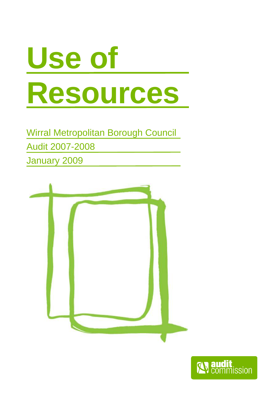# **Use of Resources**

Wirral Metropolitan Borough Council Audit 2007-2008

January 2009



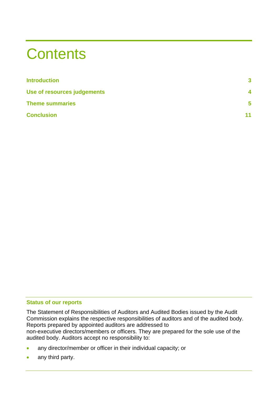# **Contents**

| <b>Introduction</b>         | 3  |
|-----------------------------|----|
| Use of resources judgements |    |
| <b>Theme summaries</b>      | 5  |
| <b>Conclusion</b>           | 11 |

#### **Status of our reports**

The Statement of Responsibilities of Auditors and Audited Bodies issued by the Audit Commission explains the respective responsibilities of auditors and of the audited body. Reports prepared by appointed auditors are addressed to non-executive directors/members or officers. They are prepared for the sole use of the audited body. Auditors accept no responsibility to:

- any director/member or officer in their individual capacity; or
- any third party.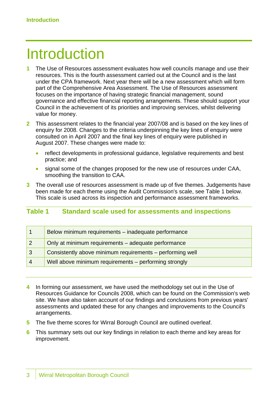# Introduction

- **1** The Use of Resources assessment evaluates how well councils manage and use their resources. This is the fourth assessment carried out at the Council and is the last under the CPA framework. Next year there will be a new assessment which will form part of the Comprehensive Area Assessment. The Use of Resources assessment focuses on the importance of having strategic financial management, sound governance and effective financial reporting arrangements. These should support your Council in the achievement of its priorities and improving services, whilst delivering value for money.
- **2** This assessment relates to the financial year 2007/08 and is based on the key lines of enquiry for 2008. Changes to the criteria underpinning the key lines of enquiry were consulted on in April 2007 and the final key lines of enquiry were published in August 2007. These changes were made to:
	- reflect developments in professional guidance, legislative requirements and best practice; and
	- signal some of the changes proposed for the new use of resources under CAA, smoothing the transition to CAA.
- **3** The overall use of resources assessment is made up of five themes. Judgements have been made for each theme using the Audit Commission's scale, see Table 1 below. This scale is used across its inspection and performance assessment frameworks.

### **Table 1 Standard scale used for assessments and inspections**

|                | Below minimum requirements - inadequate performance       |
|----------------|-----------------------------------------------------------|
| $\sqrt{2}$     | Only at minimum requirements - adequate performance       |
| <sup>3</sup>   | Consistently above minimum requirements - performing well |
| $\overline{4}$ | Well above minimum requirements – performing strongly     |

- **4** In forming our assessment, we have used the methodology set out in the Use of Resources Guidance for Councils 2008, which can be found on the Commission's web site. We have also taken account of our findings and conclusions from previous years' assessments and updated these for any changes and improvements to the Council's arrangements.
- **5** The five theme scores for Wirral Borough Council are outlined overleaf.
- **6** This summary sets out our key findings in relation to each theme and key areas for improvement.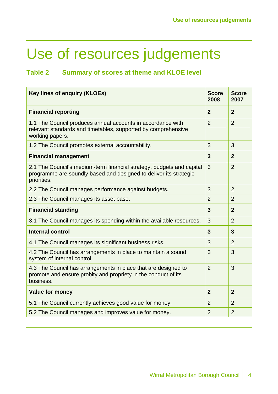# Use of resources judgements

# **Table 2 Summary of scores at theme and KLOE level**

| <b>Key lines of enquiry (KLOEs)</b>                                                                                                                       |                | <b>Score</b><br>2007 |
|-----------------------------------------------------------------------------------------------------------------------------------------------------------|----------------|----------------------|
| <b>Financial reporting</b>                                                                                                                                | $\overline{2}$ | $\overline{2}$       |
| 1.1 The Council produces annual accounts in accordance with<br>relevant standards and timetables, supported by comprehensive<br>working papers.           | $\overline{2}$ | $\overline{2}$       |
| 1.2 The Council promotes external accountability.                                                                                                         | 3              | 3                    |
| <b>Financial management</b>                                                                                                                               | 3              | $\mathbf{2}$         |
| 2.1 The Council's medium-term financial strategy, budgets and capital<br>programme are soundly based and designed to deliver its strategic<br>priorities. | 3              | $\overline{2}$       |
| 2.2 The Council manages performance against budgets.                                                                                                      | 3              | $\overline{2}$       |
| 2.3 The Council manages its asset base.                                                                                                                   | $\overline{2}$ | $\overline{2}$       |
| <b>Financial standing</b>                                                                                                                                 | $\overline{3}$ | $\overline{2}$       |
| 3.1 The Council manages its spending within the available resources.                                                                                      | 3              | $\overline{2}$       |
| <b>Internal control</b>                                                                                                                                   | $\overline{3}$ | 3                    |
| 4.1 The Council manages its significant business risks.                                                                                                   | 3              | $\overline{2}$       |
| 4.2 The Council has arrangements in place to maintain a sound<br>system of internal control.                                                              | 3              | 3                    |
| 4.3 The Council has arrangements in place that are designed to<br>promote and ensure probity and propriety in the conduct of its<br>business.             | $\overline{2}$ | 3                    |
| <b>Value for money</b>                                                                                                                                    | $\overline{2}$ | $\overline{2}$       |
| 5.1 The Council currently achieves good value for money.                                                                                                  | $\overline{2}$ | $\overline{2}$       |
| 5.2 The Council manages and improves value for money.                                                                                                     | $\overline{2}$ | $\overline{2}$       |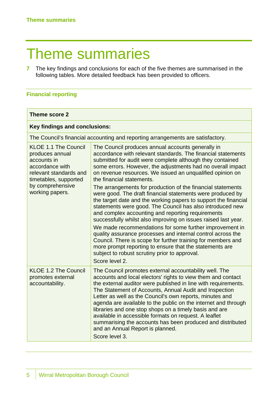# Theme summaries

**7** The key findings and conclusions for each of the five themes are summarised in the following tables. More detailed feedback has been provided to officers.

#### **Financial reporting**

#### **Theme score 2**

### **Key findings and conclusions:**

| The Council's financial accounting and reporting arrangements are satisfactory.                                                                                            |                                                                                                                                                                                                                                                                                                                                                                                                                                                                                                                                                                                                                                                                                                          |
|----------------------------------------------------------------------------------------------------------------------------------------------------------------------------|----------------------------------------------------------------------------------------------------------------------------------------------------------------------------------------------------------------------------------------------------------------------------------------------------------------------------------------------------------------------------------------------------------------------------------------------------------------------------------------------------------------------------------------------------------------------------------------------------------------------------------------------------------------------------------------------------------|
| <b>KLOE 1.1 The Council</b><br>produces annual<br>accounts in<br>accordance with<br>relevant standards and<br>timetables, supported<br>by comprehensive<br>working papers. | The Council produces annual accounts generally in<br>accordance with relevant standards. The financial statements<br>submitted for audit were complete although they contained<br>some errors. However, the adjustments had no overall impact<br>on revenue resources. We issued an unqualified opinion on<br>the financial statements.                                                                                                                                                                                                                                                                                                                                                                  |
|                                                                                                                                                                            | The arrangements for production of the financial statements<br>were good. The draft financial statements were produced by<br>the target date and the working papers to support the financial<br>statements were good. The Council has also introduced new<br>and complex accounting and reporting requirements<br>successfully whilst also improving on issues raised last year.<br>We made recommendations for some further improvement in<br>quality assurance processes and internal control across the<br>Council. There is scope for further training for members and<br>more prompt reporting to ensure that the statements are<br>subject to robust scrutiny prior to approval.<br>Score level 2. |
| <b>KLOE 1.2 The Council</b><br>promotes external<br>accountability.                                                                                                        | The Council promotes external accountability well. The<br>accounts and local electors' rights to view them and contact<br>the external auditor were published in line with requirements.<br>The Statement of Accounts, Annual Audit and Inspection<br>Letter as well as the Council's own reports, minutes and<br>agenda are available to the public on the internet and through<br>libraries and one stop shops on a timely basis and are<br>available in accessible formats on request. A leaflet<br>summarising the accounts has been produced and distributed<br>and an Annual Report is planned.<br>Score level 3.                                                                                  |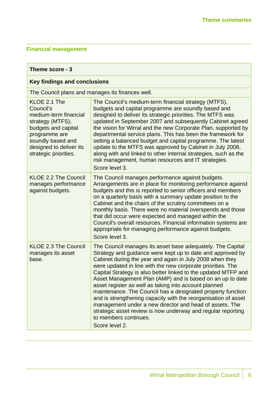#### **Financial management**

#### **Theme score - 3**

### **Key findings and conclusions**

The Council plans and manages its finances well.

| KLOE 2.1 The<br>Council's<br>medium-term financial<br>strategy (MTFS),<br>budgets and capital<br>programme are<br>soundly based and<br>designed to deliver its<br>strategic priorities. | The Council's medium-term financial strategy (MTFS),<br>budgets and capital programme are soundly based and<br>designed to deliver its strategic priorities. The MTFS was<br>updated in September 2007 and subsequently Cabinet agreed<br>the vision for Wirral and the new Corporate Plan, supported by<br>departmental service plans. This has been the framework for<br>setting a balanced budget and capital programme. The latest<br>update to the MTFS was approved by Cabinet in July 2008,<br>along with and linked to other internal strategies, such as the<br>risk management, human resources and IT strategies.<br>Score level 3.                                                                                                     |
|-----------------------------------------------------------------------------------------------------------------------------------------------------------------------------------------|----------------------------------------------------------------------------------------------------------------------------------------------------------------------------------------------------------------------------------------------------------------------------------------------------------------------------------------------------------------------------------------------------------------------------------------------------------------------------------------------------------------------------------------------------------------------------------------------------------------------------------------------------------------------------------------------------------------------------------------------------|
| <b>KLOE 2.2 The Council</b><br>manages performance<br>against budgets.                                                                                                                  | The Council manages performance against budgets.<br>Arrangements are in place for monitoring performance against<br>budgets and this is reported to senior officers and members<br>on a quarterly basis with a summary update position to the<br>Cabinet and the chairs of the scrutiny committees on a<br>monthly basis. There were no material overspends and those<br>that did occur were expected and managed within the<br>Council's overall resources. Financial information systems are<br>appropriate for managing performance against budgets.<br>Score level 3.                                                                                                                                                                          |
| <b>KLOE 2.3 The Council</b><br>manages its asset<br>base.                                                                                                                               | The Council manages its asset base adequately. The Capital<br>Strategy and guidance were kept up to date and approved by<br>Cabinet during the year and again in July 2008 when they<br>were updated in line with the new corporate priorities. The<br>Capital Strategy is also better linked to the updated MTFP and<br>Asset Management Plan (AMP) and is based on an up to date<br>asset register as well as taking into account planned<br>maintenance. The Council has a designated property function<br>and is strengthening capacity with the reorganisation of asset<br>management under a new director and head of assets. The<br>strategic asset review is now underway and regular reporting<br>to members continues.<br>Score level 2. |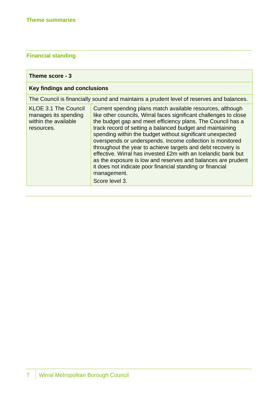## **Financial standing**

| Theme score - 3                                                                           |                                                                                                                                                                                                                                                                                                                                                                                                                                                                                                                                                                                                                                                                                     |
|-------------------------------------------------------------------------------------------|-------------------------------------------------------------------------------------------------------------------------------------------------------------------------------------------------------------------------------------------------------------------------------------------------------------------------------------------------------------------------------------------------------------------------------------------------------------------------------------------------------------------------------------------------------------------------------------------------------------------------------------------------------------------------------------|
| <b>Key findings and conclusions</b>                                                       |                                                                                                                                                                                                                                                                                                                                                                                                                                                                                                                                                                                                                                                                                     |
| The Council is financially sound and maintains a prudent level of reserves and balances.  |                                                                                                                                                                                                                                                                                                                                                                                                                                                                                                                                                                                                                                                                                     |
| <b>KLOE 3.1 The Council</b><br>manages its spending<br>within the available<br>resources. | Current spending plans match available resources, although<br>like other councils, Wirral faces significant challenges to close<br>the budget gap and meet efficiency plans. The Council has a<br>track record of setting a balanced budget and maintaining<br>spending within the budget without significant unexpected<br>overspends or underspends. Income collection is monitored<br>throughout the year to achieve targets and debt recovery is<br>effective. Wirral has invested £2m with an Icelandic bank but<br>as the exposure is low and reserves and balances are prudent<br>it does not indicate poor financial standing or financial<br>management.<br>Score level 3. |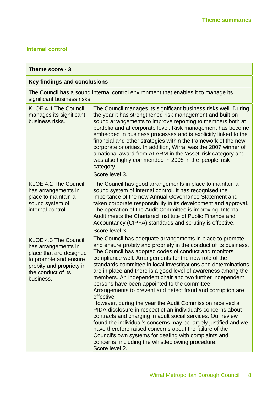#### **Internal control**

### **Theme score - 3**

### **Key findings and conclusions**

The Council has a sound internal control environment that enables it to manage its significant business risks.

| <b>KLOE 4.1 The Council</b><br>manages its significant<br>business risks.                                                                                             | The Council manages its significant business risks well. During<br>the year it has strengthened risk management and built on<br>sound arrangements to improve reporting to members both at<br>portfolio and at corporate level. Risk management has become<br>embedded in business processes and is explicitly linked to the<br>financial and other strategies within the framework of the new<br>corporate priorities. In addition, Wirral was the 2007 winner of<br>a national award from ALARM in the 'asset' risk category and<br>was also highly commended in 2008 in the 'people' risk<br>category.<br>Score level 3.                                                                                                                                                                                                                                                                                                                                                                                                            |
|-----------------------------------------------------------------------------------------------------------------------------------------------------------------------|----------------------------------------------------------------------------------------------------------------------------------------------------------------------------------------------------------------------------------------------------------------------------------------------------------------------------------------------------------------------------------------------------------------------------------------------------------------------------------------------------------------------------------------------------------------------------------------------------------------------------------------------------------------------------------------------------------------------------------------------------------------------------------------------------------------------------------------------------------------------------------------------------------------------------------------------------------------------------------------------------------------------------------------|
| <b>KLOE 4.2 The Council</b><br>has arrangements in<br>place to maintain a<br>sound system of<br>internal control.                                                     | The Council has good arrangements in place to maintain a<br>sound system of internal control. It has recognised the<br>importance of the new Annual Governance Statement and<br>taken corporate responsibility in its development and approval.<br>The operation of the Audit Committee is improving, Internal<br>Audit meets the Chartered Institute of Public Finance and<br>Accountancy (CIPFA) standards and scrutiny is effective.<br>Score level 3.                                                                                                                                                                                                                                                                                                                                                                                                                                                                                                                                                                              |
| <b>KLOE 4.3 The Council</b><br>has arrangements in<br>place that are designed<br>to promote and ensure<br>probity and propriety in<br>the conduct of its<br>business. | The Council has adequate arrangements in place to promote<br>and ensure probity and propriety in the conduct of its business.<br>The Council has adopted codes of conduct and monitors<br>compliance well. Arrangements for the new role of the<br>standards committee in local investigations and determinations<br>are in place and there is a good level of awareness among the<br>members. An independent chair and two further independent<br>persons have been appointed to the committee.<br>Arrangements to prevent and detect fraud and corruption are<br>effective.<br>However, during the year the Audit Commission received a<br>PIDA disclosure in respect of an individual's concerns about<br>contracts and charging in adult social services. Our review<br>found the individual's concerns may be largely justified and we<br>have therefore raised concerns about the failure of the<br>Council's own systems for dealing with complaints and<br>concerns, including the whistleblowing procedure.<br>Score level 2. |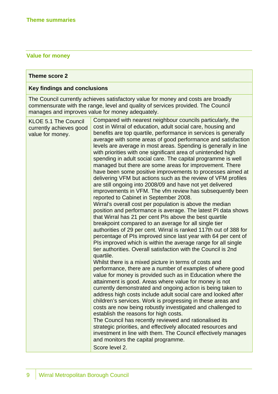### **Value for money**

| <b>Theme score 2</b>                                                       |                                                                                                                                                                                                                                                                                                                                                                                                                                                                                                                                                                                                                                                                                                                                                                                                                                                                                                                                                                                                                                                                                                                                                                                                                                                                                                                                                                                                                                                                                                                                                                                                                                                                                                                                                                                                                                                                                                                                                                                                                                                                                                                                                                                 |
|----------------------------------------------------------------------------|---------------------------------------------------------------------------------------------------------------------------------------------------------------------------------------------------------------------------------------------------------------------------------------------------------------------------------------------------------------------------------------------------------------------------------------------------------------------------------------------------------------------------------------------------------------------------------------------------------------------------------------------------------------------------------------------------------------------------------------------------------------------------------------------------------------------------------------------------------------------------------------------------------------------------------------------------------------------------------------------------------------------------------------------------------------------------------------------------------------------------------------------------------------------------------------------------------------------------------------------------------------------------------------------------------------------------------------------------------------------------------------------------------------------------------------------------------------------------------------------------------------------------------------------------------------------------------------------------------------------------------------------------------------------------------------------------------------------------------------------------------------------------------------------------------------------------------------------------------------------------------------------------------------------------------------------------------------------------------------------------------------------------------------------------------------------------------------------------------------------------------------------------------------------------------|
| <b>Key findings and conclusions</b>                                        |                                                                                                                                                                                                                                                                                                                                                                                                                                                                                                                                                                                                                                                                                                                                                                                                                                                                                                                                                                                                                                                                                                                                                                                                                                                                                                                                                                                                                                                                                                                                                                                                                                                                                                                                                                                                                                                                                                                                                                                                                                                                                                                                                                                 |
|                                                                            | The Council currently achieves satisfactory value for money and costs are broadly<br>commensurate with the range, level and quality of services provided. The Council<br>manages and improves value for money adequately.                                                                                                                                                                                                                                                                                                                                                                                                                                                                                                                                                                                                                                                                                                                                                                                                                                                                                                                                                                                                                                                                                                                                                                                                                                                                                                                                                                                                                                                                                                                                                                                                                                                                                                                                                                                                                                                                                                                                                       |
| <b>KLOE 5.1 The Council</b><br>currently achieves good<br>value for money. | Compared with nearest neighbour councils particularly, the<br>cost in Wirral of education, adult social care, housing and<br>benefits are top quartile, performance in services is generally<br>average with some areas of good performance and satisfaction<br>levels are average in most areas. Spending is generally in line<br>with priorities with one significant area of unintended high<br>spending in adult social care. The capital programme is well<br>managed but there are some areas for improvement. There<br>have been some positive improvements to processes aimed at<br>delivering VFM but actions such as the review of VFM profiles<br>are still ongoing into 2008/09 and have not yet delivered<br>improvements in VFM. The vfm review has subsequently been<br>reported to Cabinet in September 2008.<br>Wirral's overall cost per population is above the median<br>position and performance is average. The latest PI data shows<br>that Wirral has 21 per cent PIs above the best quartile<br>breakpoint compared to an average for all single tier<br>authorities of 29 per cent. Wirral is ranked 117th out of 388 for<br>percentage of PIs improved since last year with 64 per cent of<br>PIs improved which is within the average range for all single<br>tier authorities. Overall satisfaction with the Council is 2nd<br>quartile.<br>Whilst there is a mixed picture in terms of costs and<br>performance, there are a number of examples of where good<br>value for money is provided such as in Education where the<br>attainment is good. Areas where value for money is not<br>currently demonstrated and ongoing action is being taken to<br>address high costs include adult social care and looked after<br>children's services. Work is progressing in these areas and<br>costs are now being robustly investigated and challenged to<br>establish the reasons for high costs.<br>The Council has recently reviewed and rationalised its<br>strategic priorities, and effectively allocated resources and<br>investment in line with them. The Council effectively manages<br>and monitors the capital programme.<br>Score level 2. |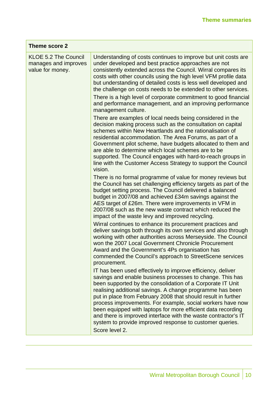| Theme score 2                                                           |                                                                                                                                                                                                                                                                                                                                                                                                                                                                                                                                                                                                    |
|-------------------------------------------------------------------------|----------------------------------------------------------------------------------------------------------------------------------------------------------------------------------------------------------------------------------------------------------------------------------------------------------------------------------------------------------------------------------------------------------------------------------------------------------------------------------------------------------------------------------------------------------------------------------------------------|
| <b>KLOE 5.2 The Council</b><br>manages and improves<br>value for money. | Understanding of costs continues to improve but unit costs are<br>under developed and best practice approaches are not<br>consistently extended across the Council. Wirral compares its<br>costs with other councils using the high level VFM profile data<br>but understanding of detailed costs is less well developed and<br>the challenge on costs needs to be extended to other services.                                                                                                                                                                                                     |
|                                                                         | There is a high level of corporate commitment to good financial<br>and performance management, and an improving performance<br>management culture.                                                                                                                                                                                                                                                                                                                                                                                                                                                 |
|                                                                         | There are examples of local needs being considered in the<br>decision making process such as the consultation on capital<br>schemes within New Heartlands and the rationalisation of<br>residential accommodation. The Area Forums, as part of a<br>Government pilot scheme, have budgets allocated to them and<br>are able to determine which local schemes are to be<br>supported. The Council engages with hard-to-reach groups in<br>line with the Customer Access Strategy to support the Council<br>vision.                                                                                  |
|                                                                         | There is no formal programme of value for money reviews but<br>the Council has set challenging efficiency targets as part of the<br>budget setting process. The Council delivered a balanced<br>budget in 2007/08 and achieved £34m savings against the<br>AES target of £26m. There were improvements in VFM in<br>2007/08 such as the new waste contract which reduced the<br>impact of the waste levy and improved recycling.                                                                                                                                                                   |
|                                                                         | Wirral continues to enhance its procurement practices and<br>deliver savings both through its own services and also through<br>working with other authorities across Merseyside. The Council<br>won the 2007 Local Government Chronicle Procurement<br>Award and the Government's 4Ps organisation has<br>commended the Council's approach to StreetScene services<br>procurement.                                                                                                                                                                                                                 |
|                                                                         | IT has been used effectively to improve efficiency, deliver<br>savings and enable business processes to change. This has<br>been supported by the consolidation of a Corporate IT Unit<br>realising additional savings. A change programme has been<br>put in place from February 2008 that should result in further<br>process improvements. For example, social workers have now<br>been equipped with laptops for more efficient data recording<br>and there is improved interface with the waste contractor's IT<br>system to provide improved response to customer queries.<br>Score level 2. |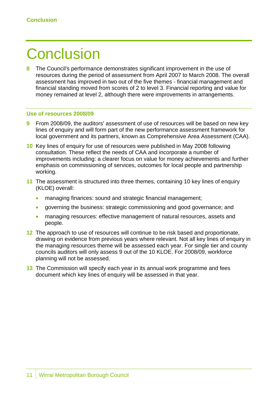# **Conclusion**

**8** The Council's performance demonstrates significant improvement in the use of resources during the period of assessment from April 2007 to March 2008. The overall assessment has improved in two out of the five themes - financial management and financial standing moved from scores of 2 to level 3. Financial reporting and value for money remained at level 2, although there were improvements in arrangements.

#### **Use of resources 2008/09**

- **9** From 2008/09, the auditors' assessment of use of resources will be based on new key lines of enquiry and will form part of the new performance assessment framework for local government and its partners, known as Comprehensive Area Assessment (CAA).
- **10** Key lines of enquiry for use of resources were published in May 2008 following consultation. These reflect the needs of CAA and incorporate a number of improvements including: a clearer focus on value for money achievements and further emphasis on commissioning of services, outcomes for local people and partnership working.
- **11** The assessment is structured into three themes, containing 10 key lines of enquiry (KLOE) overall:
	- managing finances: sound and strategic financial management;
	- governing the business: strategic commissioning and good governance; and
	- managing resources: effective management of natural resources, assets and people.
- **12** The approach to use of resources will continue to be risk based and proportionate, drawing on evidence from previous years where relevant. Not all key lines of enquiry in the managing resources theme will be assessed each year. For single tier and county councils auditors will only assess 9 out of the 10 KLOE. For 2008/09, workforce planning will not be assessed.
- **13** The Commission will specify each year in its annual work programme and fees document which key lines of enquiry will be assessed in that year.